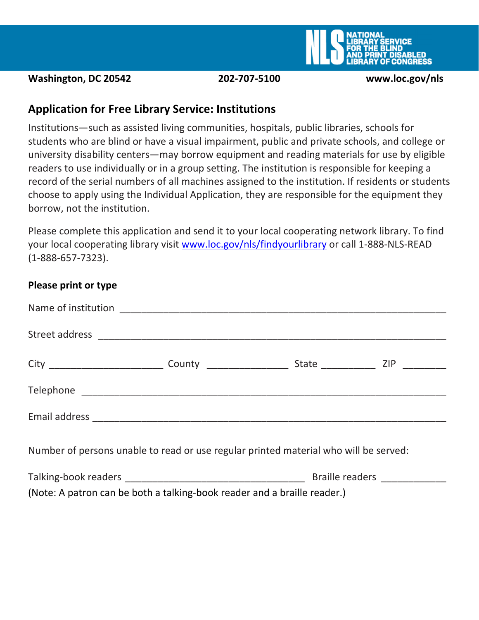

**Washington, DC 20542 202-707-5100 www.loc.gov/nls** 

# **Application for Free Library Service: Institutions**

Institutions—such as assisted living communities, hospitals, public libraries, schools for students who are blind or have a visual impairment, public and private schools, and college or university disability centers—may borrow equipment and reading materials for use by eligible readers to use individually or in a group setting. The institution is responsible for keeping a record of the serial numbers of all machines assigned to the institution. If residents or students choose to apply using the Individual Application, they are responsible for the equipment they borrow, not the institution.

Please complete this application and send it to your local cooperating network library. To find your local cooperating library visit [www.loc.gov/nls/findyourlibrary](http://www.loc.gov/nls/findyourlibrary) or call 1-888-NLS-READ (1-888-657-7323).

#### **Please print or type**

| Number of persons unable to read or use regular printed material who will be served: |  |  |  |  |  |
|--------------------------------------------------------------------------------------|--|--|--|--|--|
|                                                                                      |  |  |  |  |  |
| (Note: A patron can be both a talking-book reader and a braille reader.)             |  |  |  |  |  |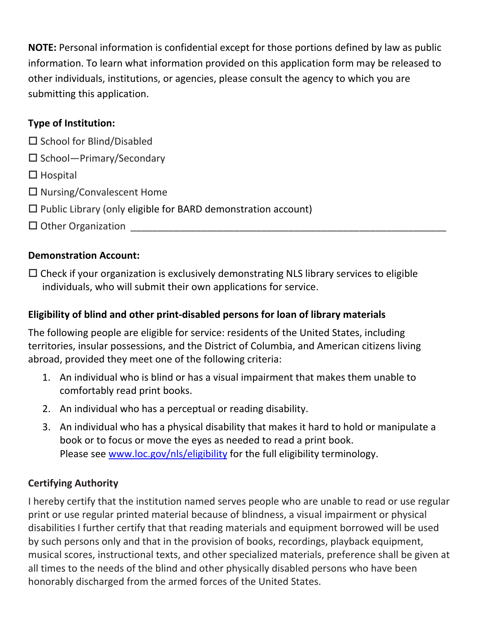**NOTE:** Personal information is confidential except for those portions defined by law as public information. To learn what information provided on this application form may be released to other individuals, institutions, or agencies, please consult the agency to which you are submitting this application.

#### **Type of Institution:**

- $\square$  School for Blind/Disabled
- $\square$  School—Primary/Secondary
- $\Box$  Hospital
- $\square$  Nursing/Convalescent Home
- $\square$  Public Library (only eligible for BARD demonstration account)
- $\Box$  Other Organization

### **Demonstration Account:**

 $\Box$  Check if your organization is exclusively demonstrating NLS library services to eligible individuals, who will submit their own applications for service.

## **Eligibility of blind and other print-disabled persons for loan of library materials**

The following people are eligible for service: residents of the United States, including territories, insular possessions, and the District of Columbia, and American citizens living abroad, provided they meet one of the following criteria:

- 1. An individual who is blind or has a visual impairment that makes them unable to comfortably read print books.
- 2. An individual who has a perceptual or reading disability.
- 3. An individual who has a physical disability that makes it hard to hold or manipulate a book or to focus or move the eyes as needed to read a print book. Please see [www.loc.gov/nls/eligibility](http://www.loc.gov/nls/eligibility) for the full eligibility terminology.

### **Certifying Authority**

I hereby certify that the institution named serves people who are unable to read or use regular print or use regular printed material because of blindness, a visual impairment or physical disabilities I further certify that that reading materials and equipment borrowed will be used by such persons only and that in the provision of books, recordings, playback equipment, musical scores, instructional texts, and other specialized materials, preference shall be given at all times to the needs of the blind and other physically disabled persons who have been honorably discharged from the armed forces of the United States.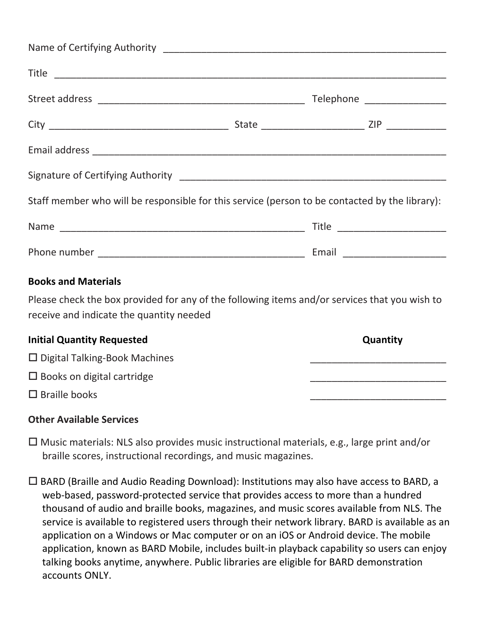|                                                                                                |  |  | Telephone __________________   |  |
|------------------------------------------------------------------------------------------------|--|--|--------------------------------|--|
|                                                                                                |  |  |                                |  |
|                                                                                                |  |  |                                |  |
|                                                                                                |  |  |                                |  |
| Staff member who will be responsible for this service (person to be contacted by the library): |  |  |                                |  |
|                                                                                                |  |  | Title ________________________ |  |
|                                                                                                |  |  |                                |  |

#### **Books and Materials**

Please check the box provided for any of the following items and/or services that you wish to receive and indicate the quantity needed

| <b>Initial Quantity Requested</b>    | Quantity |
|--------------------------------------|----------|
| $\Box$ Digital Talking-Book Machines |          |
| $\Box$ Books on digital cartridge    |          |
| $\Box$ Braille books                 |          |

#### **Other Available Services**

 $\Box$  Music materials: NLS also provides music instructional materials, e.g., large print and/or braille scores, instructional recordings, and music magazines.

 $\Box$  BARD (Braille and Audio Reading Download): Institutions may also have access to BARD, a web-based, password-protected service that provides access to more than a hundred thousand of audio and braille books, magazines, and music scores available from NLS. The service is available to registered users through their network library. BARD is available as an application on a Windows or Mac computer or on an iOS or Android device. The mobile application, known as BARD Mobile, includes built-in playback capability so users can enjoy talking books anytime, anywhere. Public libraries are eligible for BARD demonstration accounts ONLY.